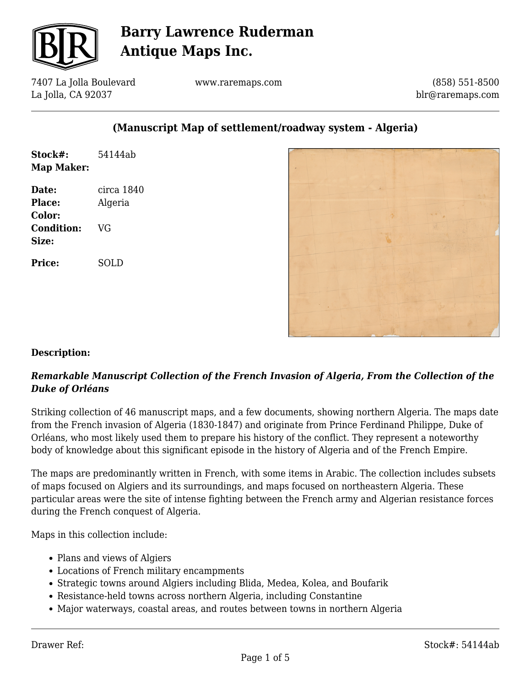

7407 La Jolla Boulevard La Jolla, CA 92037

www.raremaps.com

(858) 551-8500 blr@raremaps.com

### **(Manuscript Map of settlement/roadway system - Algeria)**

| Stock#:<br>Map Maker:                   | 54144ab               |
|-----------------------------------------|-----------------------|
| Date:<br><b>Place:</b><br><b>Color:</b> | circa 1840<br>Algeria |
| <b>Condition:</b><br>Size:              | VG                    |
| <b>Price:</b>                           | SOLD                  |
|                                         |                       |



### **Description:**

### *Remarkable Manuscript Collection of the French Invasion of Algeria, From the Collection of the Duke of Orléans*

Striking collection of 46 manuscript maps, and a few documents, showing northern Algeria. The maps date from the French invasion of Algeria (1830-1847) and originate from Prince Ferdinand Philippe, Duke of Orléans, who most likely used them to prepare his history of the conflict. They represent a noteworthy body of knowledge about this significant episode in the history of Algeria and of the French Empire.

The maps are predominantly written in French, with some items in Arabic. The collection includes subsets of maps focused on Algiers and its surroundings, and maps focused on northeastern Algeria. These particular areas were the site of intense fighting between the French army and Algerian resistance forces during the French conquest of Algeria.

Maps in this collection include:

- Plans and views of Algiers
- Locations of French military encampments
- Strategic towns around Algiers including Blida, Medea, Kolea, and Boufarik
- Resistance-held towns across northern Algeria, including Constantine
- Major waterways, coastal areas, and routes between towns in northern Algeria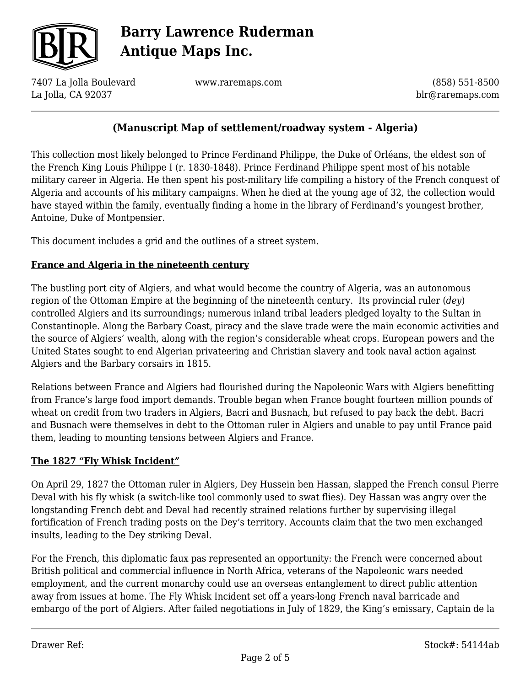

7407 La Jolla Boulevard La Jolla, CA 92037

www.raremaps.com

(858) 551-8500 blr@raremaps.com

### **(Manuscript Map of settlement/roadway system - Algeria)**

This collection most likely belonged to Prince Ferdinand Philippe, the Duke of Orléans, the eldest son of the French King Louis Philippe I (r. 1830-1848). Prince Ferdinand Philippe spent most of his notable military career in Algeria. He then spent his post-military life compiling a history of the French conquest of Algeria and accounts of his military campaigns. When he died at the young age of 32, the collection would have stayed within the family, eventually finding a home in the library of Ferdinand's youngest brother, Antoine, Duke of Montpensier.

This document includes a grid and the outlines of a street system.

### **France and Algeria in the nineteenth century**

The bustling port city of Algiers, and what would become the country of Algeria, was an autonomous region of the Ottoman Empire at the beginning of the nineteenth century. Its provincial ruler (*dey*) controlled Algiers and its surroundings; numerous inland tribal leaders pledged loyalty to the Sultan in Constantinople. Along the Barbary Coast, piracy and the slave trade were the main economic activities and the source of Algiers' wealth, along with the region's considerable wheat crops. European powers and the United States sought to end Algerian privateering and Christian slavery and took naval action against Algiers and the Barbary corsairs in 1815.

Relations between France and Algiers had flourished during the Napoleonic Wars with Algiers benefitting from France's large food import demands. Trouble began when France bought fourteen million pounds of wheat on credit from two traders in Algiers, Bacri and Busnach, but refused to pay back the debt. Bacri and Busnach were themselves in debt to the Ottoman ruler in Algiers and unable to pay until France paid them, leading to mounting tensions between Algiers and France.

### **The 1827 "Fly Whisk Incident"**

On April 29, 1827 the Ottoman ruler in Algiers, Dey Hussein ben Hassan, slapped the French consul Pierre Deval with his fly whisk (a switch-like tool commonly used to swat flies). Dey Hassan was angry over the longstanding French debt and Deval had recently strained relations further by supervising illegal fortification of French trading posts on the Dey's territory. Accounts claim that the two men exchanged insults, leading to the Dey striking Deval.

For the French, this diplomatic faux pas represented an opportunity: the French were concerned about British political and commercial influence in North Africa, veterans of the Napoleonic wars needed employment, and the current monarchy could use an overseas entanglement to direct public attention away from issues at home. The Fly Whisk Incident set off a years-long French naval barricade and embargo of the port of Algiers. After failed negotiations in July of 1829, the King's emissary, Captain de la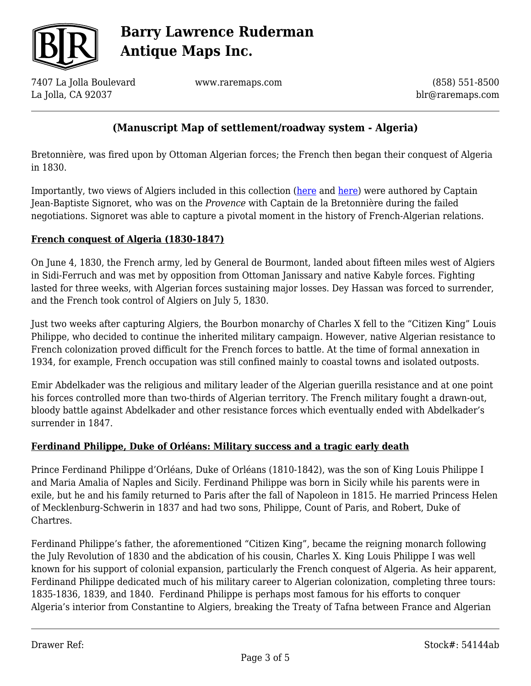

7407 La Jolla Boulevard La Jolla, CA 92037

www.raremaps.com

(858) 551-8500 blr@raremaps.com

## **(Manuscript Map of settlement/roadway system - Algeria)**

Bretonnière, was fired upon by Ottoman Algerian forces; the French then began their conquest of Algeria in 1830.

Importantly, two views of Algiers included in this collection [\(here](https://raremaps.com/gallery/detail/53490ab) and [here\)](https://raremaps.com/gallery/detail/53489ab) were authored by Captain Jean-Baptiste Signoret, who was on the *Provence* with Captain de la Bretonnière during the failed negotiations. Signoret was able to capture a pivotal moment in the history of French-Algerian relations.

#### **French conquest of Algeria (1830-1847)**

On June 4, 1830, the French army, led by General de Bourmont, landed about fifteen miles west of Algiers in Sidi-Ferruch and was met by opposition from Ottoman Janissary and native Kabyle forces. Fighting lasted for three weeks, with Algerian forces sustaining major losses. Dey Hassan was forced to surrender, and the French took control of Algiers on July 5, 1830.

Just two weeks after capturing Algiers, the Bourbon monarchy of Charles X fell to the "Citizen King" Louis Philippe, who decided to continue the inherited military campaign. However, native Algerian resistance to French colonization proved difficult for the French forces to battle. At the time of formal annexation in 1934, for example, French occupation was still confined mainly to coastal towns and isolated outposts.

Emir Abdelkader was the religious and military leader of the Algerian guerilla resistance and at one point his forces controlled more than two-thirds of Algerian territory. The French military fought a drawn-out, bloody battle against Abdelkader and other resistance forces which eventually ended with Abdelkader's surrender in 1847.

### **Ferdinand Philippe, Duke of Orléans: Military success and a tragic early death**

Prince Ferdinand Philippe d'Orléans, Duke of Orléans (1810-1842), was the son of King Louis Philippe I and Maria Amalia of Naples and Sicily. Ferdinand Philippe was born in Sicily while his parents were in exile, but he and his family returned to Paris after the fall of Napoleon in 1815. He married Princess Helen of Mecklenburg-Schwerin in 1837 and had two sons, Philippe, Count of Paris, and Robert, Duke of Chartres.

Ferdinand Philippe's father, the aforementioned "Citizen King", became the reigning monarch following the July Revolution of 1830 and the abdication of his cousin, Charles X. King Louis Philippe I was well known for his support of colonial expansion, particularly the French conquest of Algeria. As heir apparent, Ferdinand Philippe dedicated much of his military career to Algerian colonization, completing three tours: 1835-1836, 1839, and 1840. Ferdinand Philippe is perhaps most famous for his efforts to conquer Algeria's interior from Constantine to Algiers, breaking the Treaty of Tafna between France and Algerian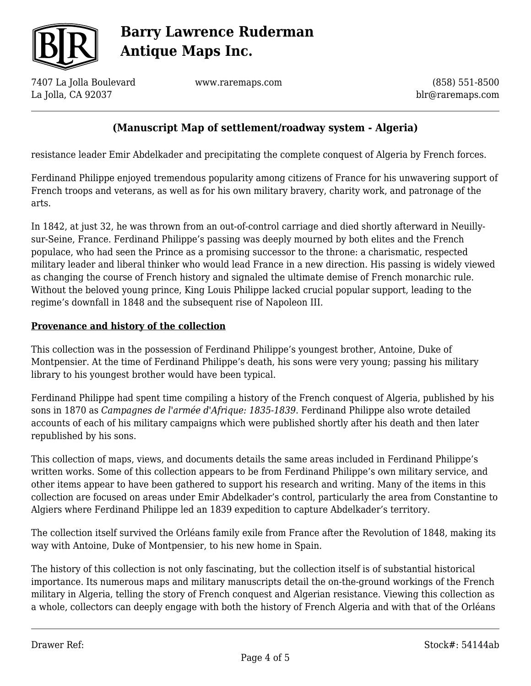

7407 La Jolla Boulevard La Jolla, CA 92037

www.raremaps.com

(858) 551-8500 blr@raremaps.com

## **(Manuscript Map of settlement/roadway system - Algeria)**

resistance leader Emir Abdelkader and precipitating the complete conquest of Algeria by French forces.

Ferdinand Philippe enjoyed tremendous popularity among citizens of France for his unwavering support of French troops and veterans, as well as for his own military bravery, charity work, and patronage of the arts.

In 1842, at just 32, he was thrown from an out-of-control carriage and died shortly afterward in Neuillysur-Seine, France. Ferdinand Philippe's passing was deeply mourned by both elites and the French populace, who had seen the Prince as a promising successor to the throne: a charismatic, respected military leader and liberal thinker who would lead France in a new direction. His passing is widely viewed as changing the course of French history and signaled the ultimate demise of French monarchic rule. Without the beloved young prince, King Louis Philippe lacked crucial popular support, leading to the regime's downfall in 1848 and the subsequent rise of Napoleon III.

#### **Provenance and history of the collection**

This collection was in the possession of Ferdinand Philippe's youngest brother, Antoine, Duke of Montpensier. At the time of Ferdinand Philippe's death, his sons were very young; passing his military library to his youngest brother would have been typical.

Ferdinand Philippe had spent time compiling a history of the French conquest of Algeria, published by his sons in 1870 as *Campagnes de l'armée d'Afrique: 1835-1839*. Ferdinand Philippe also wrote detailed accounts of each of his military campaigns which were published shortly after his death and then later republished by his sons.

This collection of maps, views, and documents details the same areas included in Ferdinand Philippe's written works. Some of this collection appears to be from Ferdinand Philippe's own military service, and other items appear to have been gathered to support his research and writing. Many of the items in this collection are focused on areas under Emir Abdelkader's control, particularly the area from Constantine to Algiers where Ferdinand Philippe led an 1839 expedition to capture Abdelkader's territory.

The collection itself survived the Orléans family exile from France after the Revolution of 1848, making its way with Antoine, Duke of Montpensier, to his new home in Spain.

The history of this collection is not only fascinating, but the collection itself is of substantial historical importance. Its numerous maps and military manuscripts detail the on-the-ground workings of the French military in Algeria, telling the story of French conquest and Algerian resistance. Viewing this collection as a whole, collectors can deeply engage with both the history of French Algeria and with that of the Orléans